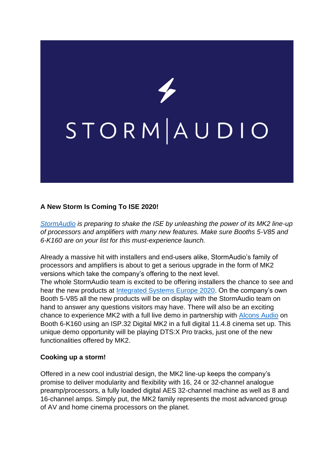

## **A New Storm Is Coming To ISE 2020!**

*[StormAudio](https://www.stormaudio.com/en/) is preparing to shake the ISE by unleashing the power of its MK2 line-up of processors and amplifiers with many new features. Make sure Booths 5-V85 and 6-K160 are on your list for this must-experience launch.*

Already a massive hit with installers and end-users alike, StormAudio's family of processors and amplifiers is about to get a serious upgrade in the form of MK2 versions which take the company's offering to the next level.

The whole StormAudio team is excited to be offering installers the chance to see and hear the new products at [Integrated Systems Europe 2020.](https://www.iseurope.org/) On the company's own Booth 5-V85 all the new products will be on display with the StormAudio team on hand to answer any questions visitors may have. There will also be an exciting chance to experience MK2 with a full live demo in partnership with [Alcons Audio](https://www.alconsaudio.com/) on Booth 6-K160 using an ISP.32 Digital MK2 in a full digital 11.4.8 cinema set up. This unique demo opportunity will be playing DTS:X Pro tracks, just one of the new functionalities offered by MK2.

## **Cooking up a storm!**

Offered in a new cool industrial design, the MK2 line-up keeps the company's promise to deliver modularity and flexibility with 16, 24 or 32-channel analogue preamp/processors, a fully loaded digital AES 32-channel machine as well as 8 and 16-channel amps. Simply put, the MK2 family represents the most advanced group of AV and home cinema processors on the planet.